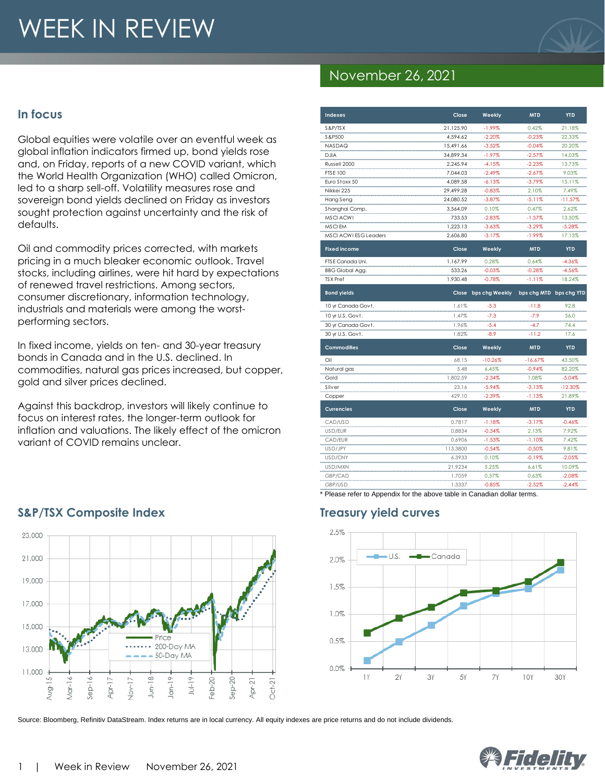# WEEK IN REVIEW

#### **In focus**

Global equities were volatile over an eventful week as global inflation indicators firmed up, bond yields rose and, on Friday, reports of a new COVID variant, which the World Health Organization (WHO) called Omicron, led to a sharp sell-off. Volatility measures rose and sovereign bond yields declined on Friday as investors sought protection against uncertainty and the risk of defaults.

Oil and commodity prices corrected, with markets pricing in a much bleaker economic outlook. Travel stocks, including airlines, were hit hard by expectations of renewed travel restrictions. Among sectors, consumer discretionary, information technology, industrials and materials were among the worstperforming sectors.

In fixed income, yields on ten- and 30-year treasury bonds in Canada and in the U.S. declined. In commodities, natural gas prices increased, but copper, gold and silver prices declined.

Against this backdrop, investors will likely continue to focus on interest rates, the longer-term outlook for inflation and valuations. The likely effect of the omicron variant of COVID remains unclear.



Source: Bloomberg, Refinitiv DataStream. Index returns are in local currency. All equity indexes are price returns and do not include dividends.

### November 26, 2021

| <b>Indexes</b>         | Close     | Weekly               | <b>MTD</b>              | <b>YTD</b> |
|------------------------|-----------|----------------------|-------------------------|------------|
| S&P/TSX                | 21,125.90 | $-1.99%$             | 0.42%                   | 21.18%     |
| S&P500                 | 4,594.62  | $-2.20%$             | $-0.23%$                | 22.33%     |
| NASDAQ                 | 15,491.66 | $-3.52%$             | $-0.04%$                | 20.20%     |
| <b>DJIA</b>            | 34,899.34 | $-1.97%$             | $-2.57%$                | 14.03%     |
| Russell 2000           | 2,245.94  | $-4.15%$             | $-2.23%$                | 13.73%     |
| <b>FTSE 100</b>        | 7,044.03  | $-2.49%$             | $-2.67%$                | 9.03%      |
| Euro Stoxx 50          | 4,089.58  | $-6.13%$             | $-3.79%$                | 15.11%     |
| Nikkei 225             | 29,499.28 | $-0.83%$             | 2.10%                   | 7.49%      |
| Hang Seng              | 24,080.52 | $-3.87%$             | $-5.11%$                | $-11.57%$  |
| Shanghai Comp.         | 3,564.09  | 0.10%                | 0.47%                   | 2.62%      |
| <b>MSCI ACWI</b>       | 733.53    | $-2.83%$             | $-1.57%$                | 13.50%     |
| MSCI EM                | 1,223.13  | $-3.63%$             | $-3.29%$                | $-5.28%$   |
| MSCI ACWI ESG Leaders  | 2,606.80  | $-3.17%$             | $-1.99%$                | 17.13%     |
| <b>Fixed income</b>    | Close     | Weekly               | <b>MTD</b>              | <b>YTD</b> |
| FTSE Canada Uni.       | 1,167.99  | 0.28%                | 0.64%                   | $-4.36%$   |
| <b>BBG Global Agg.</b> | 533.26    | $-0.03%$             | $-0.28%$                | $-4.56%$   |
| <b>TSX Pref</b>        | 1,930.48  | $-0.78%$             | -1.11%                  | 18.24%     |
| <b>Bond yields</b>     |           | Close bps chg Weekly | bps chg MTD bps chg YTD |            |
| 10 yr Canada Govt.     | 1.61%     | $-5.3$               | $-11.8$                 | 92.8       |
| 10 yr U.S. Govt.       | 1.47%     | $-7.3$               | $-7.9$                  | 56.0       |
| 30 yr Canada Govt.     | 1.96%     | $-5.4$               | $-4.7$                  | 74.4       |
| 30 yr U.S. Govt.       | 1.82%     | $-8.9$               | $-11.2$                 | 17.6       |
| <b>Commodities</b>     | Close     | Weekly               | <b>MTD</b>              | <b>YTD</b> |
| Oil                    | 68.15     | $-10.26%$            | $-16.67%$               | 43.50%     |
| Natural gas            | 5.48      | 6.45%                | $-0.94%$                | 82.20%     |
| Gold                   | 1,802.59  | $-2.34%$             | 1.08%                   | $-5.04%$   |
| Silver                 | 23.16     | $-5.94%$             | -3.13%                  | $-12.30%$  |
| Copper                 | 429.10    | $-2.39%$             | $-1.13%$                | 21.89%     |
| <b>Currencies</b>      | Close     | Weekly               | <b>MTD</b>              | <b>YTD</b> |
| CAD/USD                | 0.7817    | $-1.18%$             | $-3.17%$                | $-0.46%$   |
| USD/EUR                | 0.8834    | $-0.34%$             | 2.13%                   | 7.92%      |
| CAD/EUR                | 0.6906    | $-1.53%$             | $-1.10%$                | 7.42%      |
| USD/JPY                | 113.3800  | $-0.54%$             | $-0.50%$                | 9.81%      |
| USD/CNY                | 6.3933    | 0.10%                | $-0.19%$                | $-2.05%$   |
| USD/MXN                | 21.9234   | 5.25%                | 6.61%                   | 10.09%     |
| GBP/CAD                | 1.7059    | 0.37%                | 0.63%                   | $-2.08%$   |
| GBP/USD                | 1.3337    | $-0.85%$             | $-2.52%$                | $-2.44%$   |

#### \* Please refer to Appendix for the above table in Canadian dollar terms.



## ET ANT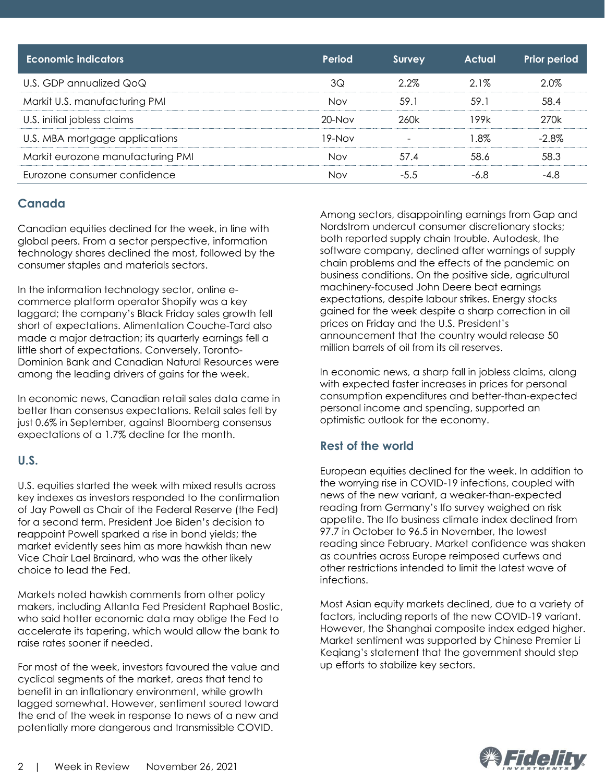| Economic indicators               | Period      | <b>Survey</b> | <b>Actual</b> | <b>Prior period</b> |
|-----------------------------------|-------------|---------------|---------------|---------------------|
| U.S. GDP annualized QoQ           | 3Q          | 2.2%          | $2.1\%$       | 2.0%                |
| Markit U.S. manufacturing PMI     | <b>Nov</b>  | 59.1          | 59.1          | 58.4                |
| U.S. initial jobless claims       | $20 - N$ ov | 260k          | 199k          | 270k                |
| U.S. MBA mortgage applications    | 19-Nov      |               | .8%           | $-2.8%$             |
| Markit eurozone manufacturing PMI | <b>Nov</b>  | 57.4          | 58.6          | 58.3                |
| Eurozone consumer confidence      | <b>Nov</b>  | $-5.5$        | -6.8          | $-4.8$              |

#### **Canada**

Canadian equities declined for the week, in line with global peers. From a sector perspective, information technology shares declined the most, followed by the consumer staples and materials sectors.

In the information technology sector, online ecommerce platform operator Shopify was a key laggard; the company's Black Friday sales growth fell short of expectations. Alimentation Couche-Tard also made a major detraction; its quarterly earnings fell a little short of expectations. Conversely, Toronto-Dominion Bank and Canadian Natural Resources were among the leading drivers of gains for the week.

In economic news, Canadian retail sales data came in better than consensus expectations. Retail sales fell by just 0.6% in September, against Bloomberg consensus expectations of a 1.7% decline for the month.

#### **U.S.**

U.S. equities started the week with mixed results across key indexes as investors responded to the confirmation of Jay Powell as Chair of the Federal Reserve (the Fed) for a second term. President Joe Biden's decision to reappoint Powell sparked a rise in bond yields; the market evidently sees him as more hawkish than new Vice Chair Lael Brainard, who was the other likely choice to lead the Fed.

Markets noted hawkish comments from other policy makers, including Atlanta Fed President Raphael Bostic, who said hotter economic data may oblige the Fed to accelerate its tapering, which would allow the bank to raise rates sooner if needed.

For most of the week, investors favoured the value and cyclical segments of the market, areas that tend to benefit in an inflationary environment, while growth lagged somewhat. However, sentiment soured toward the end of the week in response to news of a new and potentially more dangerous and transmissible COVID.

Among sectors, disappointing earnings from Gap and Nordstrom undercut consumer discretionary stocks; both reported supply chain trouble. Autodesk, the software company, declined after warnings of supply chain problems and the effects of the pandemic on business conditions. On the positive side, agricultural machinery-focused John Deere beat earnings expectations, despite labour strikes. Energy stocks gained for the week despite a sharp correction in oil prices on Friday and the U.S. President's announcement that the country would release 50 million barrels of oil from its oil reserves.

In economic news, a sharp fall in jobless claims, along with expected faster increases in prices for personal consumption expenditures and better-than-expected personal income and spending, supported an optimistic outlook for the economy.

#### **Rest of the world**

European equities declined for the week. In addition to the worrying rise in COVID-19 infections, coupled with news of the new variant, a weaker-than-expected reading from Germany's Ifo survey weighed on risk appetite. The Ifo business climate index declined from 97.7 in October to 96.5 in November, the lowest reading since February. Market confidence was shaken as countries across Europe reimposed curfews and other restrictions intended to limit the latest wave of infections.

Most Asian equity markets declined, due to a variety of factors, including reports of the new COVID-19 variant. However, the Shanghai composite index edged higher. Market sentiment was supported by Chinese Premier Li Keqiang's statement that the government should step up efforts to stabilize key sectors.

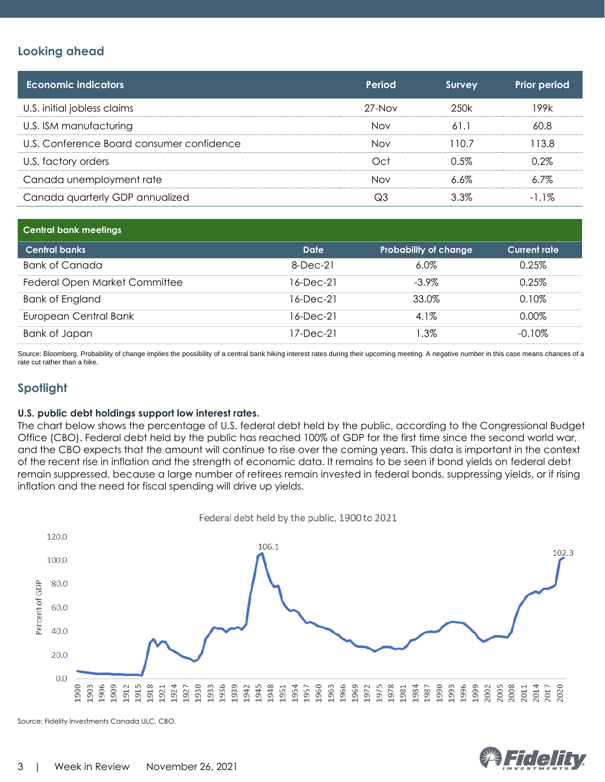#### **Looking ahead**

| <b>Economic indicators</b>                | Period   | <b>Survey</b> | <b>Prior period</b> |
|-------------------------------------------|----------|---------------|---------------------|
| U.S. initial jobless claims               | $27-Nov$ | 250k          | 199k                |
| U.S. ISM manufacturing                    | Nov      | 61.1          | 60.8                |
| U.S. Conference Board consumer confidence | Nov      | 110.7         | 113.8               |
| U.S. factory orders                       | Oct      | 0.5%          | 0.2%                |
| Canada unemployment rate                  | Nov      | $6.6\%$       | $6.7\%$             |
| Canada quarterly GDP annualized           | Q3       | 3.3%          | $-1.1\%$            |

| <b>Central bank meetings</b>  |             |                              |                     |
|-------------------------------|-------------|------------------------------|---------------------|
| <b>Central banks</b>          | Date        | <b>Probability of change</b> | <b>Current rate</b> |
| Bank of Canada                | $8$ -Dec-21 | $6.0\%$                      | 0.25%               |
| Federal Open Market Committee | 16-Dec-21   | $-3.9\%$                     | 0.25%               |
| <b>Bank of England</b>        | 16-Dec-21   | 33.0%                        | 0.10%               |
| European Central Bank         | 16-Dec-21   | 4.1%                         | 0.00%               |
| Bank of Japan                 | 17-Dec-21   | 1.3%                         | $-0.10\%$           |

Source: Bloomberg. Probability of change implies the possibility of a central bank hiking interest rates during their upcoming meeting. A negative number in this case means chances of a rate cut rather than a hike.

#### **Spotlight**

#### **U.S. public debt holdings support low interest rates.**

The chart below shows the percentage of U.S. federal debt held by the public, according to the Congressional Budget Office (CBO). Federal debt held by the public has reached 100% of GDP for the first time since the second world war, and the CBO expects that the amount will continue to rise over the coming years. This data is important in the context of the recent rise in inflation and the strength of economic data. It remains to be seen if bond yields on federal debt remain suppressed, because a large number of retirees remain invested in federal bonds, suppressing yields, or if rising inflation and the need for fiscal spending will drive up yields.



Source: Fidelity Investments Canada ULC, CBO.

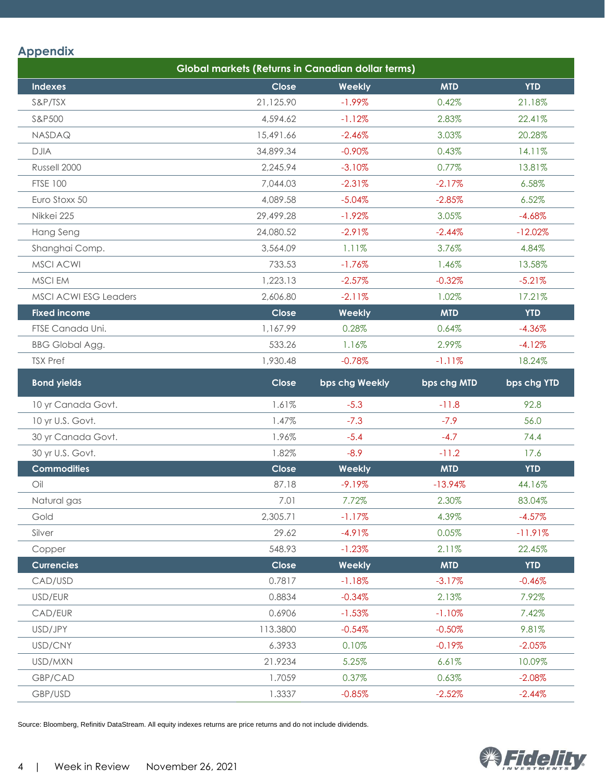#### **Appendix**

| Global markets (Returns in Canadian dollar terms) |           |                |             |             |
|---------------------------------------------------|-----------|----------------|-------------|-------------|
| <b>Indexes</b>                                    | Close     | Weekly         | <b>MTD</b>  | <b>YTD</b>  |
| S&P/TSX                                           | 21,125.90 | $-1.99%$       | 0.42%       | 21.18%      |
| S&P500                                            | 4,594.62  | $-1.12%$       | 2.83%       | 22.41%      |
| NASDAQ                                            | 15,491.66 | $-2.46%$       | 3.03%       | 20.28%      |
| <b>DJIA</b>                                       | 34,899.34 | $-0.90%$       | 0.43%       | 14.11%      |
| Russell 2000                                      | 2,245.94  | $-3.10%$       | 0.77%       | 13.81%      |
| <b>FTSE 100</b>                                   | 7,044.03  | $-2.31%$       | $-2.17%$    | 6.58%       |
| Euro Stoxx 50                                     | 4,089.58  | $-5.04%$       | $-2.85%$    | 6.52%       |
| Nikkei 225                                        | 29,499.28 | $-1.92%$       | 3.05%       | $-4.68%$    |
| Hang Seng                                         | 24,080.52 | $-2.91%$       | $-2.44%$    | $-12.02%$   |
| Shanghai Comp.                                    | 3,564.09  | 1.11%          | 3.76%       | 4.84%       |
| <b>MSCI ACWI</b>                                  | 733.53    | $-1.76%$       | 1.46%       | 13.58%      |
| MSCI EM                                           | 1,223.13  | $-2.57%$       | $-0.32%$    | $-5.21%$    |
| <b>MSCI ACWI ESG Leaders</b>                      | 2,606.80  | $-2.11%$       | 1.02%       | 17.21%      |
| <b>Fixed income</b>                               | Close     | Weekly         | <b>MTD</b>  | <b>YTD</b>  |
| FTSE Canada Uni.                                  | 1,167.99  | 0.28%          | 0.64%       | $-4.36%$    |
| <b>BBG Global Agg.</b>                            | 533.26    | 1.16%          | 2.99%       | $-4.12%$    |
| <b>TSX Pref</b>                                   | 1,930.48  | $-0.78%$       | $-1.11%$    | 18.24%      |
| <b>Bond yields</b>                                | Close     | bps chg Weekly | bps chg MTD | bps chg YTD |
| 10 yr Canada Govt.                                | 1.61%     | $-5.3$         | $-11.8$     | 92.8        |
| 10 yr U.S. Govt.                                  | 1.47%     | $-7.3$         | $-7.9$      | 56.0        |
| 30 yr Canada Govt.                                | 1.96%     | $-5.4$         | $-4.7$      | 74.4        |
| 30 yr U.S. Govt.                                  | 1.82%     | $-8.9$         | $-11.2$     | 17.6        |
| <b>Commodities</b>                                | Close     | Weekly         | <b>MTD</b>  | <b>YTD</b>  |
| Oil                                               | 87.18     | $-9.19%$       | $-13.94%$   | 44.16%      |
| Natural gas                                       | 7.01      | 7.72%          | 2.30%       | 83.04%      |
| Gold                                              | 2,305.71  | $-1.17%$       | 4.39%       | $-4.57%$    |
| Silver                                            | 29.62     | $-4.91%$       | 0.05%       | $-11.91%$   |
| Copper                                            | 548.93    | $-1.23%$       | 2.11%       | 22.45%      |
| <b>Currencies</b>                                 | Close     | Weekly         | <b>MTD</b>  | <b>YTD</b>  |
| CAD/USD                                           | 0.7817    | $-1.18%$       | $-3.17%$    | $-0.46%$    |
| USD/EUR                                           | 0.8834    | $-0.34%$       | 2.13%       | 7.92%       |
| CAD/EUR                                           | 0.6906    | $-1.53%$       | $-1.10%$    | 7.42%       |
| USD/JPY                                           | 113.3800  | $-0.54%$       | $-0.50%$    | 9.81%       |
| USD/CNY                                           | 6.3933    | 0.10%          | $-0.19%$    | $-2.05%$    |
| USD/MXN                                           | 21.9234   | 5.25%          | 6.61%       | 10.09%      |
| GBP/CAD                                           | 1.7059    | 0.37%          | 0.63%       | $-2.08%$    |
| GBP/USD                                           | 1.3337    | $-0.85%$       | $-2.52%$    | $-2.44%$    |

Source: Bloomberg, Refinitiv DataStream. All equity indexes returns are price returns and do not include dividends.